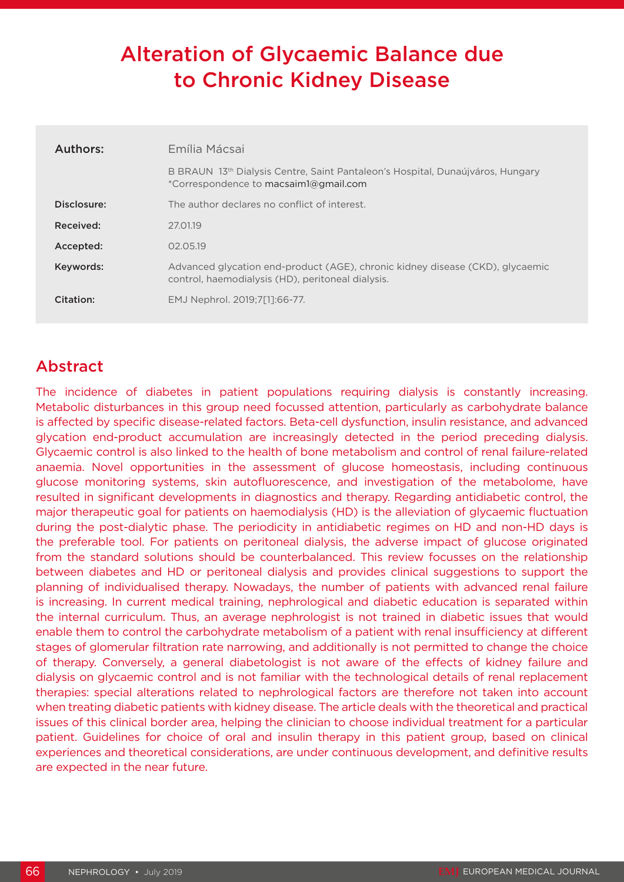# Alteration of Glycaemic Balance due to Chronic Kidney Disease

| Authors:    | Emília Mácsai                                                                                                                      |
|-------------|------------------------------------------------------------------------------------------------------------------------------------|
|             | B BRAUN 13th Dialysis Centre, Saint Pantaleon's Hospital, Dunaújváros, Hungary<br>*Correspondence to macsaim1@gmail.com            |
| Disclosure: | The author declares no conflict of interest.                                                                                       |
| Received:   | 27.01.19                                                                                                                           |
| Accepted:   | 02.05.19                                                                                                                           |
| Keywords:   | Advanced glycation end-product (AGE), chronic kidney disease (CKD), glycaemic<br>control, haemodialysis (HD), peritoneal dialysis. |
| Citation:   | EMJ Nephrol. 2019;7[1]:66-77.                                                                                                      |

## Abstract

The incidence of diabetes in patient populations requiring dialysis is constantly increasing. Metabolic disturbances in this group need focussed attention, particularly as carbohydrate balance is affected by specific disease-related factors. Beta-cell dysfunction, insulin resistance, and advanced glycation end-product accumulation are increasingly detected in the period preceding dialysis. Glycaemic control is also linked to the health of bone metabolism and control of renal failure-related anaemia. Novel opportunities in the assessment of glucose homeostasis, including continuous glucose monitoring systems, skin autofluorescence, and investigation of the metabolome, have resulted in significant developments in diagnostics and therapy. Regarding antidiabetic control, the major therapeutic goal for patients on haemodialysis (HD) is the alleviation of glycaemic fluctuation during the post-dialytic phase. The periodicity in antidiabetic regimes on HD and non-HD days is the preferable tool. For patients on peritoneal dialysis, the adverse impact of glucose originated from the standard solutions should be counterbalanced. This review focusses on the relationship between diabetes and HD or peritoneal dialysis and provides clinical suggestions to support the planning of individualised therapy. Nowadays, the number of patients with advanced renal failure is increasing. In current medical training, nephrological and diabetic education is separated within the internal curriculum. Thus, an average nephrologist is not trained in diabetic issues that would enable them to control the carbohydrate metabolism of a patient with renal insufficiency at different stages of glomerular filtration rate narrowing, and additionally is not permitted to change the choice of therapy. Conversely, a general diabetologist is not aware of the effects of kidney failure and dialysis on glycaemic control and is not familiar with the technological details of renal replacement therapies: special alterations related to nephrological factors are therefore not taken into account when treating diabetic patients with kidney disease. The article deals with the theoretical and practical issues of this clinical border area, helping the clinician to choose individual treatment for a particular patient. Guidelines for choice of oral and insulin therapy in this patient group, based on clinical experiences and theoretical considerations, are under continuous development, and definitive results are expected in the near future.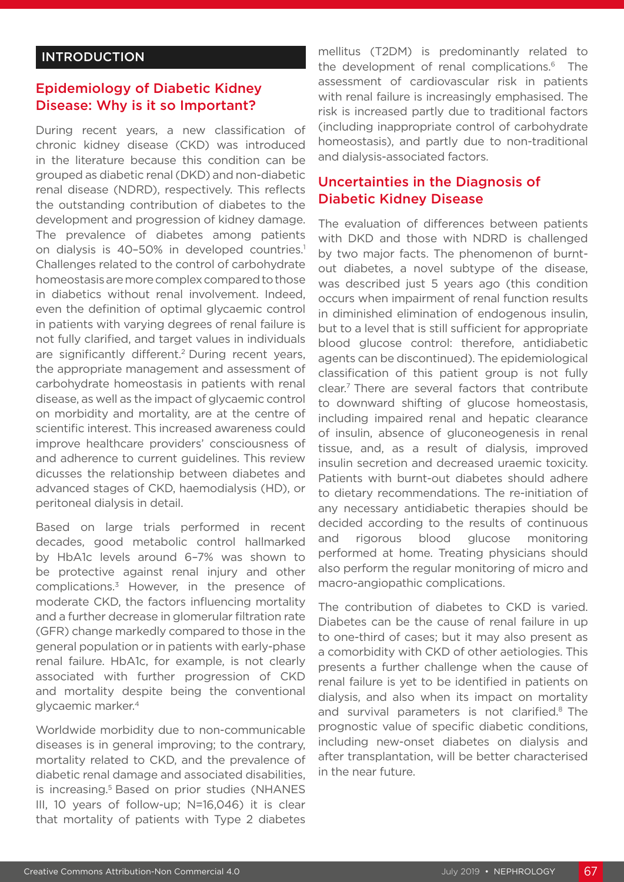#### **INTRODUCTION**

## Epidemiology of Diabetic Kidney Disease: Why is it so Important?

During recent years, a new classification of chronic kidney disease (CKD) was introduced in the literature because this condition can be grouped as diabetic renal (DKD) and non-diabetic renal disease (NDRD), respectively. This reflects the outstanding contribution of diabetes to the development and progression of kidney damage. The prevalence of diabetes among patients on dialysis is 40-50% in developed countries.<sup>1</sup> Challenges related to the control of carbohydrate homeostasis are more complex compared to those in diabetics without renal involvement. Indeed, even the definition of optimal glycaemic control in patients with varying degrees of renal failure is not fully clarified, and target values in individuals are significantly different.<sup>2</sup> During recent years, the appropriate management and assessment of carbohydrate homeostasis in patients with renal disease, as well as the impact of glycaemic control on morbidity and mortality, are at the centre of scientific interest. This increased awareness could improve healthcare providers' consciousness of and adherence to current guidelines. This review dicusses the relationship between diabetes and advanced stages of CKD, haemodialysis (HD), or peritoneal dialysis in detail.

Based on large trials performed in recent decades, good metabolic control hallmarked by HbA1c levels around 6–7% was shown to be protective against renal injury and other complications.3 However, in the presence of moderate CKD, the factors influencing mortality and a further decrease in glomerular filtration rate (GFR) change markedly compared to those in the general population or in patients with early-phase renal failure. HbA1c, for example, is not clearly associated with further progression of CKD and mortality despite being the conventional glycaemic marker.4

Worldwide morbidity due to non-communicable diseases is in general improving; to the contrary, mortality related to CKD, and the prevalence of diabetic renal damage and associated disabilities, is increasing.<sup>5</sup> Based on prior studies (NHANES III, 10 years of follow-up; N=16,046) it is clear that mortality of patients with Type 2 diabetes

mellitus (T2DM) is predominantly related to the development of renal complications.<sup>6</sup> The assessment of cardiovascular risk in patients with renal failure is increasingly emphasised. The risk is increased partly due to traditional factors (including inappropriate control of carbohydrate homeostasis), and partly due to non-traditional and dialysis-associated factors.

#### Uncertainties in the Diagnosis of Diabetic Kidney Disease

The evaluation of differences between patients with DKD and those with NDRD is challenged by two major facts. The phenomenon of burntout diabetes, a novel subtype of the disease, was described just 5 years ago (this condition occurs when impairment of renal function results in diminished elimination of endogenous insulin, but to a level that is still sufficient for appropriate blood glucose control: therefore, antidiabetic agents can be discontinued). The epidemiological classification of this patient group is not fully clear.7 There are several factors that contribute to downward shifting of glucose homeostasis, including impaired renal and hepatic clearance of insulin, absence of gluconeogenesis in renal tissue, and, as a result of dialysis, improved insulin secretion and decreased uraemic toxicity. Patients with burnt-out diabetes should adhere to dietary recommendations. The re-initiation of any necessary antidiabetic therapies should be decided according to the results of continuous and rigorous blood glucose monitoring performed at home. Treating physicians should also perform the regular monitoring of micro and macro-angiopathic complications.

The contribution of diabetes to CKD is varied. Diabetes can be the cause of renal failure in up to one-third of cases; but it may also present as a comorbidity with CKD of other aetiologies. This presents a further challenge when the cause of renal failure is yet to be identified in patients on dialysis, and also when its impact on mortality and survival parameters is not clarified.<sup>8</sup> The prognostic value of specific diabetic conditions, including new-onset diabetes on dialysis and after transplantation, will be better characterised in the near future.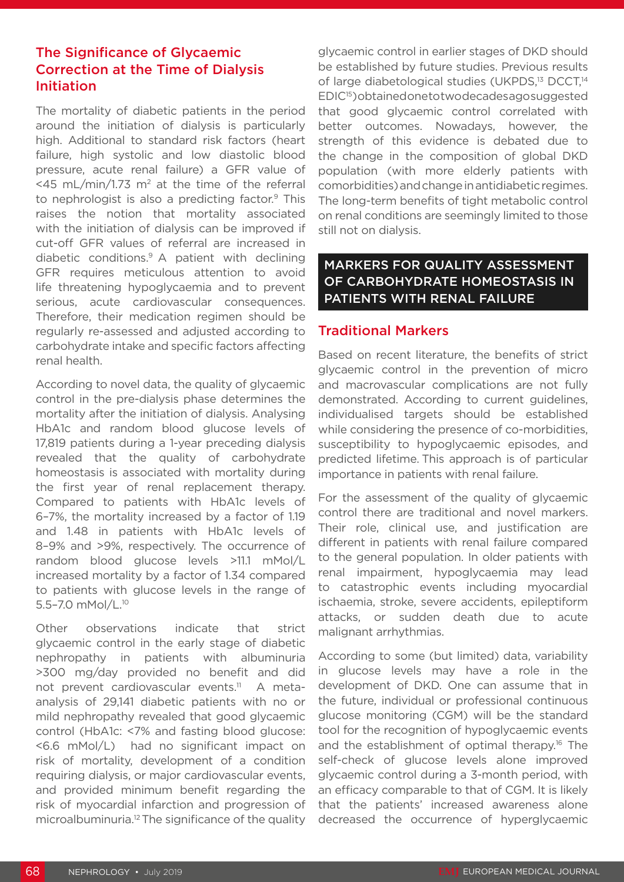#### The Significance of Glycaemic Correction at the Time of Dialysis Initiation

The mortality of diabetic patients in the period around the initiation of dialysis is particularly high. Additional to standard risk factors (heart failure, high systolic and low diastolic blood pressure, acute renal failure) a GFR value of <45 mL/min/1.73 m<sup>2</sup> at the time of the referral to nephrologist is also a predicting factor.<sup>9</sup> This raises the notion that mortality associated with the initiation of dialysis can be improved if cut-off GFR values of referral are increased in diabetic conditions.9 A patient with declining GFR requires meticulous attention to avoid life threatening hypoglycaemia and to prevent serious, acute cardiovascular consequences. Therefore, their medication regimen should be regularly re-assessed and adjusted according to carbohydrate intake and specific factors affecting renal health.

According to novel data, the quality of glycaemic control in the pre-dialysis phase determines the mortality after the initiation of dialysis. Analysing HbA1c and random blood glucose levels of 17,819 patients during a 1-year preceding dialysis revealed that the quality of carbohydrate homeostasis is associated with mortality during the first year of renal replacement therapy. Compared to patients with HbA1c levels of 6–7%, the mortality increased by a factor of 1.19 and 1.48 in patients with HbA1c levels of 8–9% and >9%, respectively. The occurrence of random blood glucose levels >11.1 mMol/L increased mortality by a factor of 1.34 compared to patients with glucose levels in the range of 5.5–7.0 mMol/L.10

Other observations indicate that strict glycaemic control in the early stage of diabetic nephropathy in patients with albuminuria >300 mg/day provided no benefit and did not prevent cardiovascular events.<sup>11</sup> A metaanalysis of 29,141 diabetic patients with no or mild nephropathy revealed that good glycaemic control (HbA1c: <7% and fasting blood glucose: <6.6 mMol/L) had no significant impact on risk of mortality, development of a condition requiring dialysis, or major cardiovascular events, and provided minimum benefit regarding the risk of myocardial infarction and progression of microalbuminuria.12 The significance of the quality glycaemic control in earlier stages of DKD should be established by future studies. Previous results of large diabetological studies (UKPDS,<sup>13</sup> DCCT,<sup>14</sup> EDIC15) obtained one to two decades ago suggested that good glycaemic control correlated with better outcomes. Nowadays, however, the strength of this evidence is debated due to the change in the composition of global DKD population (with more elderly patients with comorbidities) and change in antidiabetic regimes. The long-term benefits of tight metabolic control on renal conditions are seemingly limited to those still not on dialysis.

#### MARKERS FOR QUALITY ASSESSMENT OF CARBOHYDRATE HOMEOSTASIS IN PATIENTS WITH RENAL FAILURE

#### Traditional Markers

Based on recent literature, the benefits of strict glycaemic control in the prevention of micro and macrovascular complications are not fully demonstrated. According to current guidelines, individualised targets should be established while considering the presence of co-morbidities, susceptibility to hypoglycaemic episodes, and predicted lifetime. This approach is of particular importance in patients with renal failure.

For the assessment of the quality of glycaemic control there are traditional and novel markers. Their role, clinical use, and justification are different in patients with renal failure compared to the general population. In older patients with renal impairment, hypoglycaemia may lead to catastrophic events including myocardial ischaemia, stroke, severe accidents, epileptiform attacks, or sudden death due to acute malignant arrhythmias.

According to some (but limited) data, variability in glucose levels may have a role in the development of DKD. One can assume that in the future, individual or professional continuous glucose monitoring (CGM) will be the standard tool for the recognition of hypoglycaemic events and the establishment of optimal therapy.<sup>16</sup> The self-check of glucose levels alone improved glycaemic control during a 3-month period, with an efficacy comparable to that of CGM. It is likely that the patients' increased awareness alone decreased the occurrence of hyperglycaemic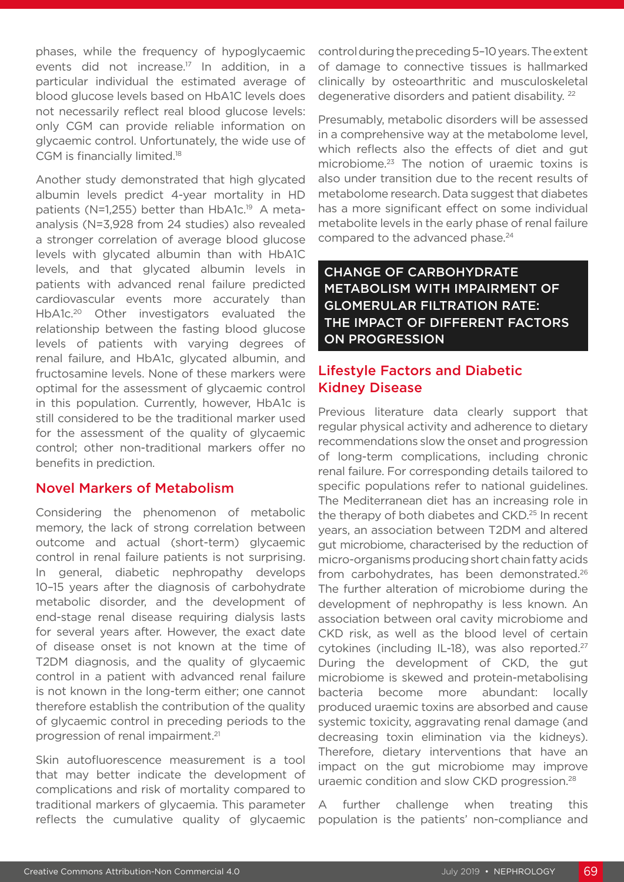phases, while the frequency of hypoglycaemic events did not increase.<sup>17</sup> In addition, in a particular individual the estimated average of blood glucose levels based on HbA1C levels does not necessarily reflect real blood glucose levels: only CGM can provide reliable information on glycaemic control. Unfortunately, the wide use of CGM is financially limited.18

Another study demonstrated that high glycated albumin levels predict 4-year mortality in HD patients (N=1,255) better than HbA1c.<sup>19</sup> A metaanalysis (N=3,928 from 24 studies) also revealed a stronger correlation of average blood glucose levels with glycated albumin than with HbA1C levels, and that glycated albumin levels in patients with advanced renal failure predicted cardiovascular events more accurately than HbA1c.20 Other investigators evaluated the relationship between the fasting blood glucose levels of patients with varying degrees of renal failure, and HbA1c, glycated albumin, and fructosamine levels. None of these markers were optimal for the assessment of glycaemic control in this population. Currently, however, HbA1c is still considered to be the traditional marker used for the assessment of the quality of glycaemic control; other non-traditional markers offer no benefits in prediction.

#### Novel Markers of Metabolism

Considering the phenomenon of metabolic memory, the lack of strong correlation between outcome and actual (short-term) glycaemic control in renal failure patients is not surprising. In general, diabetic nephropathy develops 10–15 years after the diagnosis of carbohydrate metabolic disorder, and the development of end-stage renal disease requiring dialysis lasts for several years after. However, the exact date of disease onset is not known at the time of T2DM diagnosis, and the quality of glycaemic control in a patient with advanced renal failure is not known in the long-term either; one cannot therefore establish the contribution of the quality of glycaemic control in preceding periods to the progression of renal impairment.21

Skin autofluorescence measurement is a tool that may better indicate the development of complications and risk of mortality compared to traditional markers of glycaemia. This parameter reflects the cumulative quality of glycaemic

control during the preceding 5–10 years. The extent of damage to connective tissues is hallmarked clinically by osteoarthritic and musculoskeletal degenerative disorders and patient disability. 22

Presumably, metabolic disorders will be assessed in a comprehensive way at the metabolome level, which reflects also the effects of diet and gut microbiome.23 The notion of uraemic toxins is also under transition due to the recent results of metabolome research. Data suggest that diabetes has a more significant effect on some individual metabolite levels in the early phase of renal failure compared to the advanced phase.<sup>24</sup>

CHANGE OF CARBOHYDRATE METABOLISM WITH IMPAIRMENT OF GLOMERULAR FILTRATION RATE: THE IMPACT OF DIFFERENT FACTORS ON PROGRESSION

## Lifestyle Factors and Diabetic Kidney Disease

Previous literature data clearly support that regular physical activity and adherence to dietary recommendations slow the onset and progression of long-term complications, including chronic renal failure. For corresponding details tailored to specific populations refer to national guidelines. The Mediterranean diet has an increasing role in the therapy of both diabetes and CKD.<sup>25</sup> In recent years, an association between T2DM and altered gut microbiome, characterised by the reduction of micro-organisms producing short chain fatty acids from carbohydrates, has been demonstrated.<sup>26</sup> The further alteration of microbiome during the development of nephropathy is less known. An association between oral cavity microbiome and CKD risk, as well as the blood level of certain cytokines (including IL-18), was also reported.<sup>27</sup> During the development of CKD, the gut microbiome is skewed and protein-metabolising bacteria become more abundant: locally produced uraemic toxins are absorbed and cause systemic toxicity, aggravating renal damage (and decreasing toxin elimination via the kidneys). Therefore, dietary interventions that have an impact on the gut microbiome may improve uraemic condition and slow CKD progression.28

A further challenge when treating this population is the patients' non-compliance and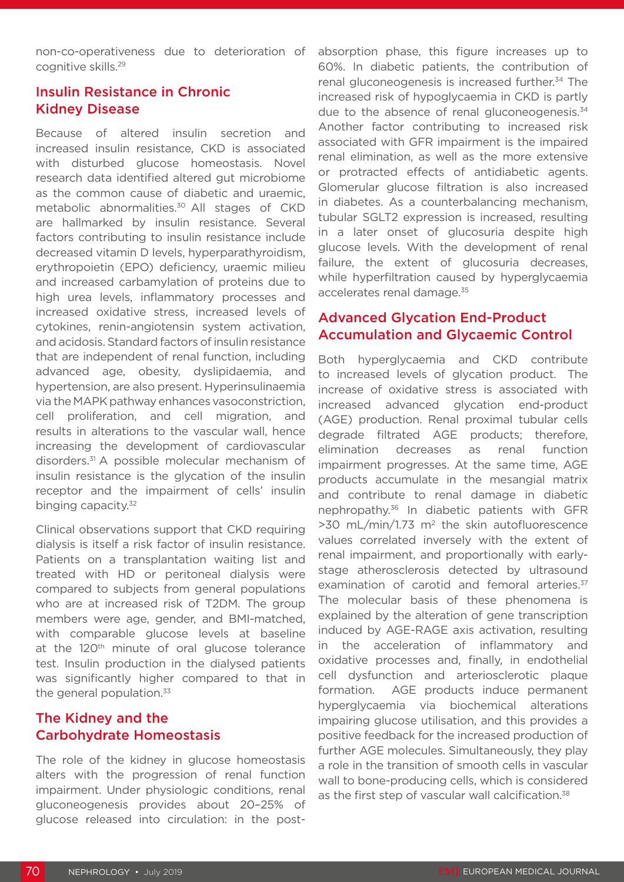non-co-operativeness due to deterioration of cognitive skills.29

### Insulin Resistance in Chronic Kidney Disease

Because of altered insulin secretion and increased insulin resistance, CKD is associated with disturbed glucose homeostasis. Novel research data identified altered gut microbiome as the common cause of diabetic and uraemic, metabolic abnormalities.<sup>30</sup> All stages of CKD are hallmarked by insulin resistance. Several factors contributing to insulin resistance include decreased vitamin D levels, hyperparathyroidism, erythropoietin (EPO) deficiency, uraemic milieu and increased carbamylation of proteins due to high urea levels, inflammatory processes and increased oxidative stress, increased levels of cytokines, renin-angiotensin system activation, and acidosis. Standard factors of insulin resistance that are independent of renal function, including advanced age, obesity, dyslipidaemia, and hypertension, are also present. Hyperinsulinaemia via the MAPK pathway enhances vasoconstriction, cell proliferation, and cell migration, and results in alterations to the vascular wall, hence increasing the development of cardiovascular disorders.31 A possible molecular mechanism of insulin resistance is the glycation of the insulin receptor and the impairment of cells' insulin binging capacity.<sup>32</sup>

Clinical observations support that CKD requiring dialysis is itself a risk factor of insulin resistance. Patients on a transplantation waiting list and treated with HD or peritoneal dialysis were compared to subjects from general populations who are at increased risk of T2DM. The group members were age, gender, and BMI-matched, with comparable glucose levels at baseline at the 120<sup>th</sup> minute of oral glucose tolerance test. Insulin production in the dialysed patients was significantly higher compared to that in the general population.<sup>33</sup>

#### The Kidney and the Carbohydrate Homeostasis

The role of the kidney in glucose homeostasis alters with the progression of renal function impairment. Under physiologic conditions, renal gluconeogenesis provides about 20–25% of glucose released into circulation: in the postabsorption phase, this figure increases up to 60%. In diabetic patients, the contribution of renal gluconeogenesis is increased further.<sup>34</sup> The increased risk of hypoglycaemia in CKD is partly due to the absence of renal gluconeogenesis.<sup>34</sup> Another factor contributing to increased risk associated with GFR impairment is the impaired renal elimination, as well as the more extensive or protracted effects of antidiabetic agents. Glomerular glucose filtration is also increased in diabetes. As a counterbalancing mechanism, tubular SGLT2 expression is increased, resulting in a later onset of glucosuria despite high glucose levels. With the development of renal failure, the extent of glucosuria decreases, while hyperfiltration caused by hyperglycaemia accelerates renal damage.<sup>35</sup>

#### Advanced Glycation End-Product Accumulation and Glycaemic Control

Both hyperglycaemia and CKD contribute to increased levels of glycation product. The increase of oxidative stress is associated with increased advanced glycation end-product (AGE) production. Renal proximal tubular cells degrade filtrated AGE products; therefore, elimination decreases as renal function impairment progresses. At the same time, AGE products accumulate in the mesangial matrix and contribute to renal damage in diabetic nephropathy.36 In diabetic patients with GFR  $>30$  mL/min/1.73 m<sup>2</sup> the skin autofluorescence values correlated inversely with the extent of renal impairment, and proportionally with earlystage atherosclerosis detected by ultrasound examination of carotid and femoral arteries.<sup>37</sup> The molecular basis of these phenomena is explained by the alteration of gene transcription induced by AGE-RAGE axis activation, resulting in the acceleration of inflammatory and oxidative processes and, finally, in endothelial cell dysfunction and arteriosclerotic plaque formation. AGE products induce permanent hyperglycaemia via biochemical alterations impairing glucose utilisation, and this provides a positive feedback for the increased production of further AGE molecules. Simultaneously, they play a role in the transition of smooth cells in vascular wall to bone-producing cells, which is considered as the first step of vascular wall calcification.<sup>38</sup>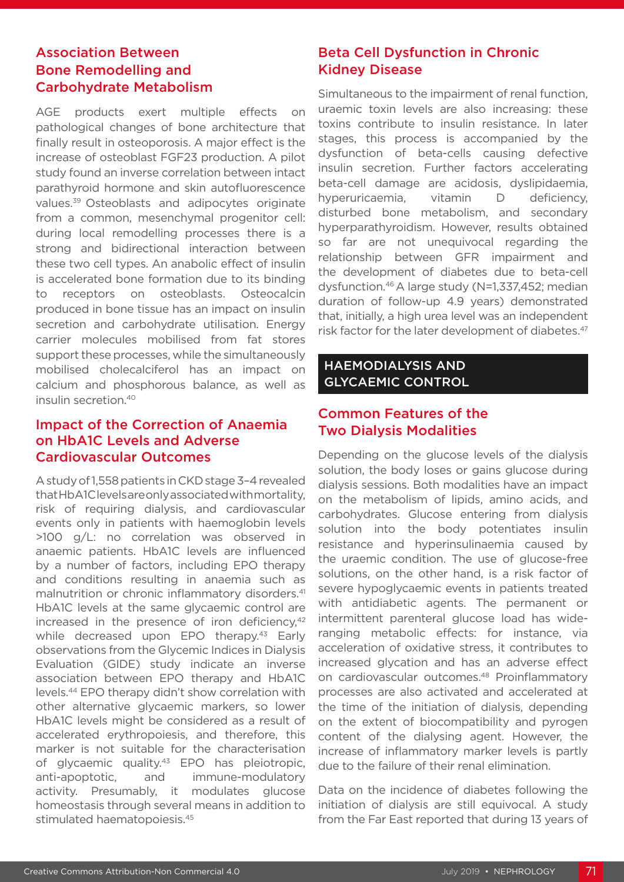### Association Between Bone Remodelling and Carbohydrate Metabolism

AGE products exert multiple effects on pathological changes of bone architecture that finally result in osteoporosis. A major effect is the increase of osteoblast FGF23 production. A pilot study found an inverse correlation between intact parathyroid hormone and skin autofluorescence values.39 Osteoblasts and adipocytes originate from a common, mesenchymal progenitor cell: during local remodelling processes there is a strong and bidirectional interaction between these two cell types. An anabolic effect of insulin is accelerated bone formation due to its binding to receptors on osteoblasts. Osteocalcin produced in bone tissue has an impact on insulin secretion and carbohydrate utilisation. Energy carrier molecules mobilised from fat stores support these processes, while the simultaneously mobilised cholecalciferol has an impact on calcium and phosphorous balance, as well as insulin secretion.40

#### Impact of the Correction of Anaemia on HbA1C Levels and Adverse Cardiovascular Outcomes

A study of 1,558 patients in CKD stage 3–4 revealed that HbA1C levels are only associated with mortality, risk of requiring dialysis, and cardiovascular events only in patients with haemoglobin levels >100 g/L: no correlation was observed in anaemic patients. HbA1C levels are influenced by a number of factors, including EPO therapy and conditions resulting in anaemia such as malnutrition or chronic inflammatory disorders.<sup>41</sup> HbA1C levels at the same glycaemic control are increased in the presence of iron deficiency, $42$ while decreased upon EPO therapy.<sup>43</sup> Early observations from the Glycemic Indices in Dialysis Evaluation (GIDE) study indicate an inverse association between EPO therapy and HbA1C levels.44 EPO therapy didn't show correlation with other alternative glycaemic markers, so lower HbA1C levels might be considered as a result of accelerated erythropoiesis, and therefore, this marker is not suitable for the characterisation of glycaemic quality.43 EPO has pleiotropic, anti-apoptotic, and immune-modulatory activity. Presumably, it modulates glucose homeostasis through several means in addition to stimulated haematopoiesis.45

## Beta Cell Dysfunction in Chronic Kidney Disease

Simultaneous to the impairment of renal function, uraemic toxin levels are also increasing: these toxins contribute to insulin resistance. In later stages, this process is accompanied by the dysfunction of beta-cells causing defective insulin secretion. Further factors accelerating beta-cell damage are acidosis, dyslipidaemia, hyperuricaemia, vitamin D deficiency, disturbed bone metabolism, and secondary hyperparathyroidism. However, results obtained so far are not unequivocal regarding the relationship between GFR impairment and the development of diabetes due to beta-cell dysfunction.46 A large study (N=1,337,452; median duration of follow-up 4.9 years) demonstrated that, initially, a high urea level was an independent risk factor for the later development of diabetes.<sup>47</sup>

#### HAEMODIALYSIS AND GLYCAEMIC CONTROL

## Common Features of the Two Dialysis Modalities

Depending on the glucose levels of the dialysis solution, the body loses or gains glucose during dialysis sessions. Both modalities have an impact on the metabolism of lipids, amino acids, and carbohydrates. Glucose entering from dialysis solution into the body potentiates insulin resistance and hyperinsulinaemia caused by the uraemic condition. The use of glucose-free solutions, on the other hand, is a risk factor of severe hypoglycaemic events in patients treated with antidiabetic agents. The permanent or intermittent parenteral glucose load has wideranging metabolic effects: for instance, via acceleration of oxidative stress, it contributes to increased glycation and has an adverse effect on cardiovascular outcomes.<sup>48</sup> Proinflammatory processes are also activated and accelerated at the time of the initiation of dialysis, depending on the extent of biocompatibility and pyrogen content of the dialysing agent. However, the increase of inflammatory marker levels is partly due to the failure of their renal elimination.

Data on the incidence of diabetes following the initiation of dialysis are still equivocal. A study from the Far East reported that during 13 years of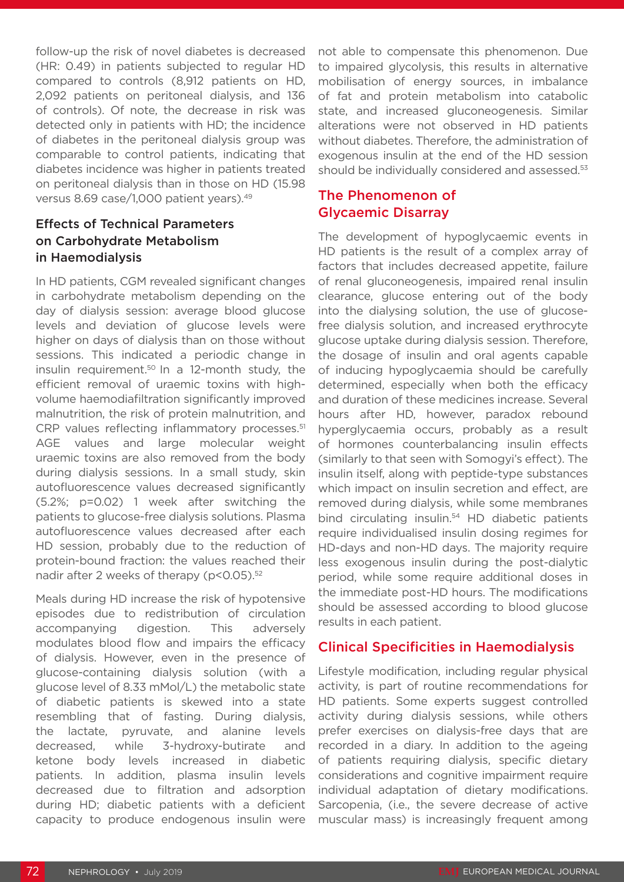follow-up the risk of novel diabetes is decreased (HR: 0.49) in patients subjected to regular HD compared to controls (8,912 patients on HD, 2,092 patients on peritoneal dialysis, and 136 of controls). Of note, the decrease in risk was detected only in patients with HD; the incidence of diabetes in the peritoneal dialysis group was comparable to control patients, indicating that diabetes incidence was higher in patients treated on peritoneal dialysis than in those on HD (15.98 versus 8.69 case/1,000 patient years).49

### Effects of Technical Parameters on Carbohydrate Metabolism in Haemodialysis

In HD patients, CGM revealed significant changes in carbohydrate metabolism depending on the day of dialysis session: average blood glucose levels and deviation of glucose levels were higher on days of dialysis than on those without sessions. This indicated a periodic change in insulin requirement.50 In a 12-month study, the efficient removal of uraemic toxins with highvolume haemodiafiltration significantly improved malnutrition, the risk of protein malnutrition, and CRP values reflecting inflammatory processes.<sup>51</sup> AGE values and large molecular weight uraemic toxins are also removed from the body during dialysis sessions. In a small study, skin autofluorescence values decreased significantly (5.2%; p=0.02) 1 week after switching the patients to glucose-free dialysis solutions. Plasma autofluorescence values decreased after each HD session, probably due to the reduction of protein-bound fraction: the values reached their nadir after 2 weeks of therapy (p<0.05).<sup>52</sup>

Meals during HD increase the risk of hypotensive episodes due to redistribution of circulation accompanying digestion. This adversely modulates blood flow and impairs the efficacy of dialysis. However, even in the presence of glucose-containing dialysis solution (with a glucose level of 8.33 mMol/L) the metabolic state of diabetic patients is skewed into a state resembling that of fasting. During dialysis, the lactate, pyruvate, and alanine levels decreased, while 3-hydroxy-butirate and ketone body levels increased in diabetic patients. In addition, plasma insulin levels decreased due to filtration and adsorption during HD; diabetic patients with a deficient capacity to produce endogenous insulin were

not able to compensate this phenomenon. Due to impaired glycolysis, this results in alternative mobilisation of energy sources, in imbalance of fat and protein metabolism into catabolic state, and increased gluconeogenesis. Similar alterations were not observed in HD patients without diabetes. Therefore, the administration of exogenous insulin at the end of the HD session should be individually considered and assessed.<sup>53</sup>

#### The Phenomenon of Glycaemic Disarray

The development of hypoglycaemic events in HD patients is the result of a complex array of factors that includes decreased appetite, failure of renal gluconeogenesis, impaired renal insulin clearance, glucose entering out of the body into the dialysing solution, the use of glucosefree dialysis solution, and increased erythrocyte glucose uptake during dialysis session. Therefore, the dosage of insulin and oral agents capable of inducing hypoglycaemia should be carefully determined, especially when both the efficacy and duration of these medicines increase. Several hours after HD, however, paradox rebound hyperglycaemia occurs, probably as a result of hormones counterbalancing insulin effects (similarly to that seen with Somogyi's effect). The insulin itself, along with peptide-type substances which impact on insulin secretion and effect, are removed during dialysis, while some membranes bind circulating insulin.<sup>54</sup> HD diabetic patients require individualised insulin dosing regimes for HD-days and non-HD days. The majority require less exogenous insulin during the post-dialytic period, while some require additional doses in the immediate post-HD hours. The modifications should be assessed according to blood glucose results in each patient.

## Clinical Specificities in Haemodialysis

Lifestyle modification, including regular physical activity, is part of routine recommendations for HD patients. Some experts suggest controlled activity during dialysis sessions, while others prefer exercises on dialysis-free days that are recorded in a diary. In addition to the ageing of patients requiring dialysis, specific dietary considerations and cognitive impairment require individual adaptation of dietary modifications. Sarcopenia, (i.e., the severe decrease of active muscular mass) is increasingly frequent among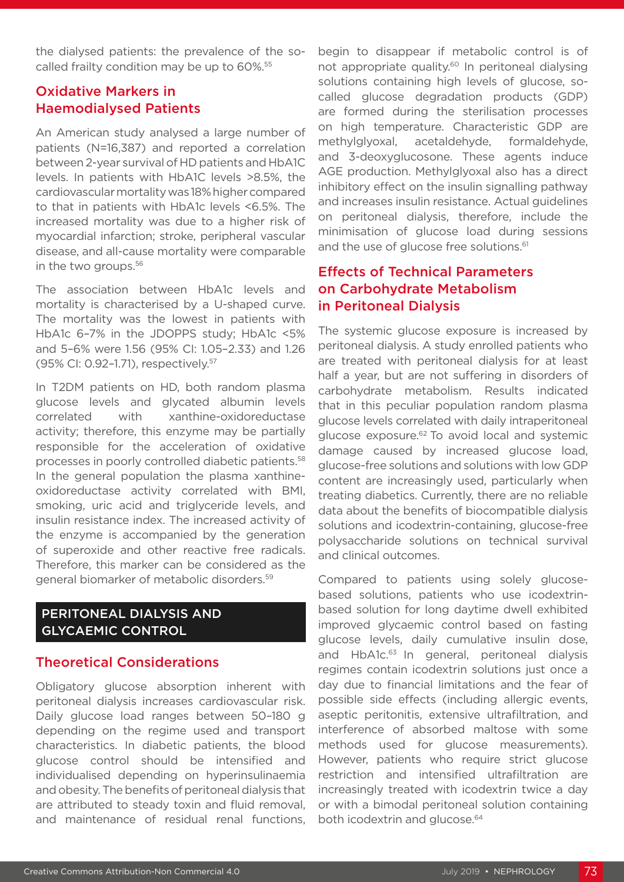the dialysed patients: the prevalence of the socalled frailty condition may be up to 60%.<sup>55</sup>

#### Oxidative Markers in Haemodialysed Patients

An American study analysed a large number of patients (N=16,387) and reported a correlation between 2-year survival of HD patients and HbA1C levels. In patients with HbA1C levels >8.5%, the cardiovascular mortality was 18% higher compared to that in patients with HbA1c levels <6.5%. The increased mortality was due to a higher risk of myocardial infarction; stroke, peripheral vascular disease, and all-cause mortality were comparable in the two groups.<sup>56</sup>

The association between HbA1c levels and mortality is characterised by a U-shaped curve. The mortality was the lowest in patients with HbA1c 6–7% in the JDOPPS study; HbA1c <5% and 5–6% were 1.56 (95% CI: 1.05–2.33) and 1.26 (95% CI: 0.92–1.71), respectively.57

In T2DM patients on HD, both random plasma glucose levels and glycated albumin levels correlated with xanthine-oxidoreductase activity; therefore, this enzyme may be partially responsible for the acceleration of oxidative processes in poorly controlled diabetic patients.58 In the general population the plasma xanthineoxidoreductase activity correlated with BMI, smoking, uric acid and triglyceride levels, and insulin resistance index. The increased activity of the enzyme is accompanied by the generation of superoxide and other reactive free radicals. Therefore, this marker can be considered as the general biomarker of metabolic disorders.59

#### PERITONEAL DIALYSIS AND GLYCAEMIC CONTROL

## Theoretical Considerations

Obligatory glucose absorption inherent with peritoneal dialysis increases cardiovascular risk. Daily glucose load ranges between 50–180 g depending on the regime used and transport characteristics. In diabetic patients, the blood glucose control should be intensified and individualised depending on hyperinsulinaemia and obesity. The benefits of peritoneal dialysis that are attributed to steady toxin and fluid removal, and maintenance of residual renal functions,

begin to disappear if metabolic control is of not appropriate quality.<sup>60</sup> In peritoneal dialysing solutions containing high levels of glucose, socalled glucose degradation products (GDP) are formed during the sterilisation processes on high temperature. Characteristic GDP are methylglyoxal, acetaldehyde, formaldehyde, and 3-deoxyglucosone. These agents induce AGE production. Methylglyoxal also has a direct inhibitory effect on the insulin signalling pathway and increases insulin resistance. Actual guidelines on peritoneal dialysis, therefore, include the minimisation of glucose load during sessions and the use of glucose free solutions.<sup>61</sup>

## Effects of Technical Parameters on Carbohydrate Metabolism in Peritoneal Dialysis

The systemic glucose exposure is increased by peritoneal dialysis. A study enrolled patients who are treated with peritoneal dialysis for at least half a year, but are not suffering in disorders of carbohydrate metabolism. Results indicated that in this peculiar population random plasma glucose levels correlated with daily intraperitoneal glucose exposure.<sup>62</sup> To avoid local and systemic damage caused by increased glucose load, glucose-free solutions and solutions with low GDP content are increasingly used, particularly when treating diabetics. Currently, there are no reliable data about the benefits of biocompatible dialysis solutions and icodextrin-containing, glucose-free polysaccharide solutions on technical survival and clinical outcomes.

Compared to patients using solely glucosebased solutions, patients who use icodextrinbased solution for long daytime dwell exhibited improved glycaemic control based on fasting glucose levels, daily cumulative insulin dose, and HbA1c.<sup>63</sup> In general, peritoneal dialysis regimes contain icodextrin solutions just once a day due to financial limitations and the fear of possible side effects (including allergic events, aseptic peritonitis, extensive ultrafiltration, and interference of absorbed maltose with some methods used for glucose measurements). However, patients who require strict glucose restriction and intensified ultrafiltration are increasingly treated with icodextrin twice a day or with a bimodal peritoneal solution containing both icodextrin and glucose.<sup>64</sup>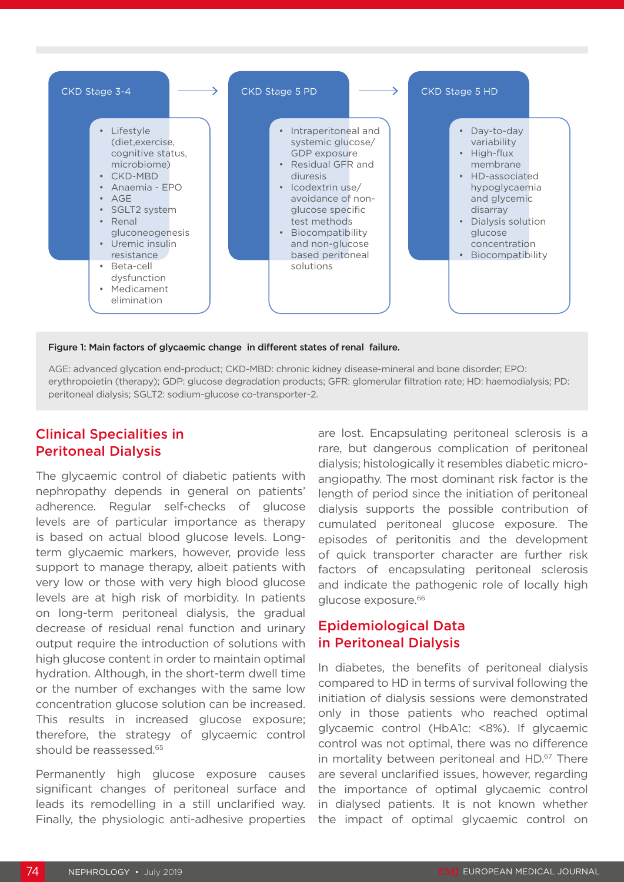

#### Figure 1: Main factors of glycaemic change in different states of renal failure.

AGE: advanced glycation end-product; CKD-MBD: chronic kidney disease-mineral and bone disorder; EPO: erythropoietin (therapy); GDP: glucose degradation products; GFR: glomerular filtration rate; HD: haemodialysis; PD: peritoneal dialysis; SGLT2: sodium-glucose co-transporter-2.

#### Clinical Specialities in Peritoneal Dialysis

The glycaemic control of diabetic patients with nephropathy depends in general on patients' adherence. Regular self-checks of glucose levels are of particular importance as therapy is based on actual blood glucose levels. Longterm glycaemic markers, however, provide less support to manage therapy, albeit patients with very low or those with very high blood glucose levels are at high risk of morbidity. In patients on long-term peritoneal dialysis, the gradual decrease of residual renal function and urinary output require the introduction of solutions with high glucose content in order to maintain optimal hydration. Although, in the short-term dwell time or the number of exchanges with the same low concentration glucose solution can be increased. This results in increased glucose exposure; therefore, the strategy of glycaemic control should be reassessed.<sup>65</sup>

Permanently high glucose exposure causes significant changes of peritoneal surface and leads its remodelling in a still unclarified way. Finally, the physiologic anti-adhesive properties

are lost. Encapsulating peritoneal sclerosis is a rare, but dangerous complication of peritoneal dialysis; histologically it resembles diabetic microangiopathy. The most dominant risk factor is the length of period since the initiation of peritoneal dialysis supports the possible contribution of cumulated peritoneal glucose exposure. The episodes of peritonitis and the development of quick transporter character are further risk factors of encapsulating peritoneal sclerosis and indicate the pathogenic role of locally high glucose exposure.<sup>66</sup>

#### Epidemiological Data in Peritoneal Dialysis

In diabetes, the benefits of peritoneal dialysis compared to HD in terms of survival following the initiation of dialysis sessions were demonstrated only in those patients who reached optimal glycaemic control (HbA1c: <8%). If glycaemic control was not optimal, there was no difference in mortality between peritoneal and HD.<sup>67</sup> There are several unclarified issues, however, regarding the importance of optimal glycaemic control in dialysed patients. It is not known whether the impact of optimal glycaemic control on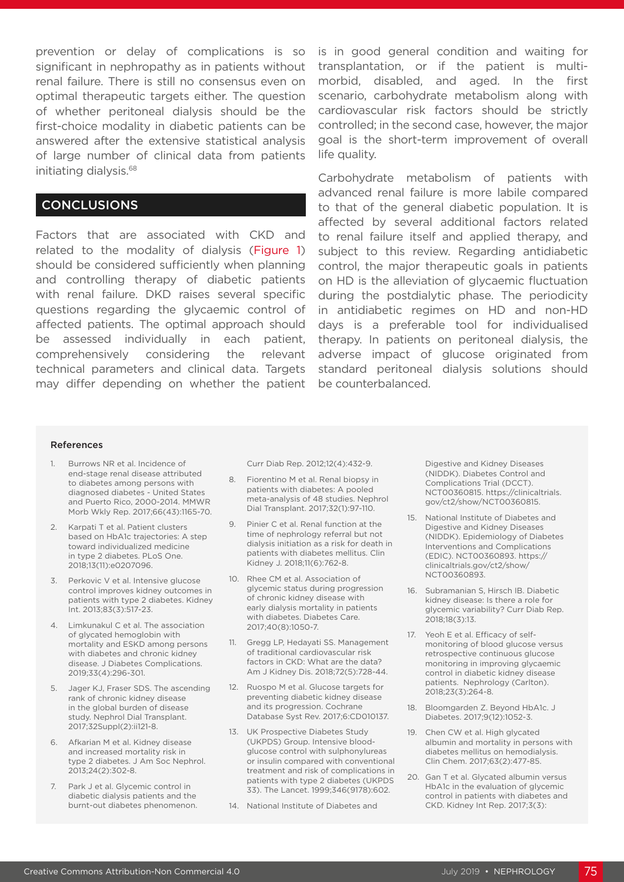prevention or delay of complications is so significant in nephropathy as in patients without renal failure. There is still no consensus even on optimal therapeutic targets either. The question of whether peritoneal dialysis should be the first-choice modality in diabetic patients can be answered after the extensive statistical analysis of large number of clinical data from patients initiating dialysis.68

#### CONCLUSIONS

Factors that are associated with CKD and related to the modality of dialysis (Figure 1) should be considered sufficiently when planning and controlling therapy of diabetic patients with renal failure. DKD raises several specific questions regarding the glycaemic control of affected patients. The optimal approach should be assessed individually in each patient, comprehensively considering the relevant technical parameters and clinical data. Targets may differ depending on whether the patient

is in good general condition and waiting for transplantation, or if the patient is multimorbid, disabled, and aged. In the first scenario, carbohydrate metabolism along with cardiovascular risk factors should be strictly controlled; in the second case, however, the major goal is the short-term improvement of overall life quality.

Carbohydrate metabolism of patients with advanced renal failure is more labile compared to that of the general diabetic population. It is affected by several additional factors related to renal failure itself and applied therapy, and subject to this review. Regarding antidiabetic control, the major therapeutic goals in patients on HD is the alleviation of glycaemic fluctuation during the postdialytic phase. The periodicity in antidiabetic regimes on HD and non-HD days is a preferable tool for individualised therapy. In patients on peritoneal dialysis, the adverse impact of glucose originated from standard peritoneal dialysis solutions should be counterbalanced.

#### References

- 1. Burrows NR et al. Incidence of end-stage renal disease attributed to diabetes among persons with diagnosed diabetes - United States and Puerto Rico, 2000-2014. MMWR Morb Wkly Rep. 2017;66(43):1165-70.
- 2. Karpati T et al. Patient clusters based on HbA1c trajectories: A step toward individualized medicine in type 2 diabetes. PLoS One. 2018;13(11):e0207096.
- 3. Perkovic V et al. Intensive glucose control improves kidney outcomes in patients with type 2 diabetes. Kidney Int. 2013;83(3):517-23.
- 4. Limkunakul C et al. The association of glycated hemoglobin with mortality and ESKD among persons with diabetes and chronic kidney disease. J Diabetes Complications. 2019;33(4):296-301.
- 5. Jager KJ, Fraser SDS. The ascending rank of chronic kidney disease in the global burden of disease study. Nephrol Dial Transplant. 2017;32Suppl(2):ii121-8.
- 6. Afkarian M et al. Kidney disease and increased mortality risk in type 2 diabetes. J Am Soc Nephrol. 2013;24(2):302-8.
- 7. Park J et al. Glycemic control in diabetic dialysis patients and the burnt-out diabetes phenomenon.

Curr Diab Rep. 2012;12(4):432-9.

- 8. Fiorentino M et al. Renal biopsy in patients with diabetes: A pooled meta-analysis of 48 studies. Nephrol Dial Transplant. 2017;32(1):97-110.
- 9. Pinier C et al. Renal function at the time of nephrology referral but not dialysis initiation as a risk for death in patients with diabetes mellitus. Clin Kidney J. 2018;11(6):762-8.
- 10. Rhee CM et al. Association of glycemic status during progression of chronic kidney disease with early dialysis mortality in patients with diabetes. Diabetes Care. 2017;40(8):1050-7.
- 11. Gregg LP, Hedayati SS. Management of traditional cardiovascular risk factors in CKD: What are the data? Am J Kidney Dis. 2018;72(5):728-44.
- 12. Ruospo M et al. Glucose targets for preventing diabetic kidney disease and its progression. Cochrane Database Syst Rev. 2017;6:CD010137.
- 13. UK Prospective Diabetes Study (UKPDS) Group. Intensive bloodglucose control with sulphonylureas or insulin compared with conventional treatment and risk of complications in patients with type 2 diabetes (UKPDS 33). The Lancet. 1999;346(9178):602.
- 14. National Institute of Diabetes and

Digestive and Kidney Diseases (NIDDK). Diabetes Control and Complications Trial (DCCT). NCT00360815. https://clinicaltrials. gov/ct2/show/NCT00360815.

- 15. National Institute of Diabetes and Digestive and Kidney Diseases (NIDDK). Epidemiology of Diabetes Interventions and Complications (EDIC). NCT00360893. https:// clinicaltrials.gov/ct2/show/ NCT00360893.
- 16. Subramanian S, Hirsch IB. Diabetic kidney disease: Is there a role for glycemic variability? Curr Diab Rep. 2018;18(3):13.
- 17. Yeoh E et al. Efficacy of selfmonitoring of blood glucose versus retrospective continuous glucose monitoring in improving glycaemic control in diabetic kidney disease patients. Nephrology (Carlton). 2018;23(3):264-8.
- 18. Bloomgarden Z. Beyond HbA1c. J Diabetes. 2017;9(12):1052-3.
- 19. Chen CW et al. High glycated albumin and mortality in persons with diabetes mellitus on hemodialysis. Clin Chem. 2017;63(2):477-85.
- 20. Gan T et al. Glycated albumin versus HbA1c in the evaluation of glycemic control in patients with diabetes and CKD. Kidney Int Rep. 2017;3(3):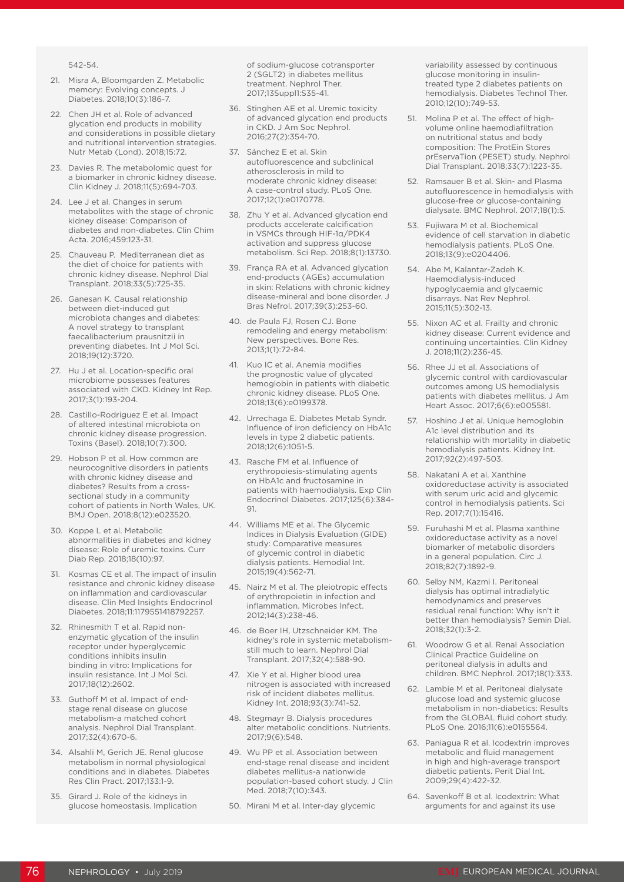542-54.

- 21. Misra A, Bloomgarden Z. Metabolic memory: Evolving concepts. J Diabetes. 2018;10(3):186-7.
- 22. Chen JH et al. Role of advanced glycation end products in mobility and considerations in possible dietary and nutritional intervention strategies. Nutr Metab (Lond). 2018;15:72.
- 23. Davies R. The metabolomic quest for a biomarker in chronic kidney disease. Clin Kidney J. 2018;11(5):694-703.
- 24. Lee J et al. Changes in serum metabolites with the stage of chronic kidney disease: Comparison of diabetes and non-diabetes. Clin Chim Acta. 2016;459:123-31.
- 25. Chauveau P. Mediterranean diet as the diet of choice for patients with chronic kidney disease. Nephrol Dial Transplant. 2018;33(5):725-35.
- 26. Ganesan K. Causal relationship between diet-induced gut microbiota changes and diabetes: A novel strategy to transplant faecalibacterium prausnitzii in preventing diabetes. Int J Mol Sci. 2018;19(12):3720.
- 27. Hu J et al. Location-specific oral microbiome possesses features associated with CKD. Kidney Int Rep. 2017;3(1):193-204.
- 28. Castillo-Rodriguez E et al. Impact of altered intestinal microbiota on chronic kidney disease progression. Toxins (Basel). 2018;10(7):300.
- 29. Hobson P et al. How common are neurocognitive disorders in patients with chronic kidney disease and diabetes? Results from a crosssectional study in a community cohort of patients in North Wales, UK. BMJ Open. 2018;8(12):e023520.
- 30. Koppe L et al. Metabolic abnormalities in diabetes and kidney disease: Role of uremic toxins. Curr Diab Rep. 2018;18(10):97.
- 31. Kosmas CE et al. The impact of insulin resistance and chronic kidney disease on inflammation and cardiovascular disease. Clin Med Insights Endocrinol Diabetes. 2018;11:1179551418792257.
- 32. Rhinesmith T et al. Rapid nonenzymatic glycation of the insulin receptor under hyperglycemic conditions inhibits insulin binding in vitro: Implications for insulin resistance. Int J Mol Sci. 2017;18(12):2602.
- 33. Guthoff M et al. Impact of endstage renal disease on glucose metabolism-a matched cohort analysis. Nephrol Dial Transplant. 2017;32(4):670-6.
- 34. Alsahli M, Gerich JE. Renal glucose metabolism in normal physiological conditions and in diabetes. Diabetes Res Clin Pract. 2017;133:1-9.
- 35. Girard J. Role of the kidneys in glucose homeostasis. Implication

of sodium-glucose cotransporter 2 (SGLT2) in diabetes mellitus treatment. Nephrol Ther. 2017;13Suppl1:S35-41.

- 36. Stinghen AE et al. Uremic toxicity of advanced glycation end products in CKD. J Am Soc Nephrol. 2016;27(2):354-70.
- 37. Sánchez E et al. Skin autofluorescence and subclinical atherosclerosis in mild to moderate chronic kidney disease: A case-control study. PLoS One. 2017;12(1):e0170778.
- 38. Zhu Y et al. Advanced glycation end products accelerate calcification in VSMCs through HIF-1α/PDK4 activation and suppress glucose metabolism. Sci Rep. 2018;8(1):13730.
- 39. França RA et al. Advanced glycation end-products (AGEs) accumulation in skin: Relations with chronic kidney disease-mineral and bone disorder. J Bras Nefrol. 2017;39(3):253-60.
- 40. de Paula FJ, Rosen CJ. Bone remodeling and energy metabolism: New perspectives. Bone Res. 2013;1(1):72-84.
- 41. Kuo IC et al. Anemia modifies the prognostic value of glycated hemoglobin in patients with diabetic chronic kidney disease. PLoS One. 2018;13(6):e0199378.
- 42. Urrechaga E. Diabetes Metab Syndr. Influence of iron deficiency on HbA1c levels in type 2 diabetic patients. 2018;12(6):1051-5.
- 43. Rasche FM et al. Influence of erythropoiesis-stimulating agents on HbA1c and fructosamine in patients with haemodialysis. Exp Clin Endocrinol Diabetes. 2017;125(6):384- 91.
- 44. Williams ME et al. The Glycemic Indices in Dialysis Evaluation (GIDE) study: Comparative measures of glycemic control in diabetic dialysis patients. Hemodial Int. 2015;19(4):562-71.
- 45. Nairz M et al. The pleiotropic effects of erythropoietin in infection and inflammation. Microbes Infect. 2012;14(3):238-46.
- 46. de Boer IH, Utzschneider KM. The kidney's role in systemic metabolismstill much to learn. Nephrol Dial Transplant. 2017;32(4):588-90.
- 47. Xie Y et al. Higher blood urea nitrogen is associated with increased risk of incident diabetes mellitus. Kidney Int. 2018;93(3):741-52.
- 48. Stegmayr B. Dialysis procedures alter metabolic conditions. Nutrients. 2017;9(6):548.
- 49. Wu PP et al. Association between end-stage renal disease and incident diabetes mellitus-a nationwide population-based cohort study. J Clin Med. 2018;7(10):343.
- 50. Mirani M et al. Inter-day glycemic

variability assessed by continuous glucose monitoring in insulintreated type 2 diabetes patients on hemodialysis. Diabetes Technol Ther. 2010;12(10):749-53.

- 51. Molina P et al. The effect of highvolume online haemodiafiltration on nutritional status and body composition: The ProtEin Stores prEservaTion (PESET) study. Nephrol Dial Transplant. 2018;33(7):1223-35.
- 52. Ramsauer B et al. Skin- and Plasma autofluorescence in hemodialysis with glucose-free or glucose-containing dialysate. BMC Nephrol. 2017;18(1):5.
- 53. Fujiwara M et al. Biochemical evidence of cell starvation in diabetic hemodialysis patients. PLoS One. 2018;13(9):e0204406.
- 54. Abe M, Kalantar-Zadeh K. Haemodialysis-induced hypoglycaemia and glycaemic disarrays. Nat Rev Nephrol. 2015;11(5):302-13.
- 55. Nixon AC et al. Frailty and chronic kidney disease: Current evidence and continuing uncertainties. Clin Kidney J. 2018;11(2):236-45.
- 56. Rhee JJ et al. Associations of glycemic control with cardiovascular outcomes among US hemodialysis patients with diabetes mellitus. J Am Heart Assoc. 2017;6(6):e005581.
- 57. Hoshino J et al. Unique hemoglobin A1c level distribution and its relationship with mortality in diabetic hemodialysis patients. Kidney Int. 2017;92(2):497-503.
- 58. Nakatani A et al. Xanthine oxidoreductase activity is associated with serum uric acid and glycemic control in hemodialysis patients. Sci Rep. 2017;7(1):15416.
- 59. Furuhashi M et al. Plasma xanthine oxidoreductase activity as a novel biomarker of metabolic disorders in a general population. Circ J. 2018;82(7):1892-9.
- 60. Selby NM, Kazmi I. Peritoneal dialysis has optimal intradialytic hemodynamics and preserves residual renal function: Why isn't it better than hemodialysis? Semin Dial. 2018;32(1):3-2.
- 61. Woodrow G et al. Renal Association Clinical Practice Guideline on peritoneal dialysis in adults and children. BMC Nephrol. 2017;18(1):333.
- 62. Lambie M et al. Peritoneal dialysate glucose load and systemic glucose metabolism in non-diabetics: Results from the GLOBAL fluid cohort study. PLoS One. 2016;11(6):e0155564.
- 63. Paniagua R et al. Icodextrin improves metabolic and fluid management in high and high-average transport diabetic patients. Perit Dial Int. 2009;29(4):422-32.
- 64. Savenkoff B et al. Icodextrin: What arguments for and against its use